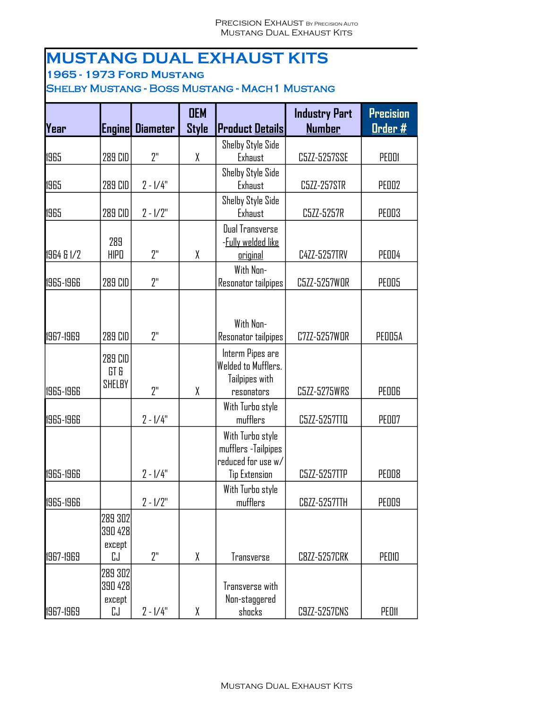## **MUSTANG DUAL EXHAUST KITS**

**1965 - 1973 Ford Mustang**

Shelby Mustang - Boss Mustang - Mach1 Mustang

| Year       | <b>Engine</b>                      | <b>Diameter</b> | <b>OEM</b><br><b>Style</b> | <b>Product Details</b>                                                                 | <b>Industry Part</b><br><b>Number</b> | <b>Precision</b><br><u>Order #</u> |
|------------|------------------------------------|-----------------|----------------------------|----------------------------------------------------------------------------------------|---------------------------------------|------------------------------------|
| 1965       | 289 CID                            | 2"              | χ                          | Shelby Style Side<br>Exhaust                                                           | C5ZZ-5257SSE                          | PEDDI                              |
| 1965       | 289 CID                            | $2 - 1/4"$      |                            | Shelby Style Side<br>Exhaust                                                           | C5ZZ-257STR                           | <b>PED02</b>                       |
| 1965       | 289 CID                            | $2 - 1/2"$      |                            | Shelby Style Side<br>Exhaust                                                           | C5ZZ-5257R                            | <b>PED03</b>                       |
| 1964 & 1/2 | 289<br><b>HIPO</b>                 | 2"              | χ                          | Dual Transverse<br>- <b>Fully welded like</b><br><u>original</u>                       | C4ZZ-5257TRV                          | PEDD4                              |
| 1965-1966  | 289 CID                            | 2"              |                            | With Non-<br>Resonator tailpipes                                                       | C5ZZ-5257WOR                          | <b>PED05</b>                       |
| 1967-1969  | 289 CID                            | 2"              |                            | With Non-<br>Resonator tailpipes                                                       | C7ZZ-5257WDR                          | PEDD5A                             |
| 1965-1966  | 289 CID<br>GT &<br>SHELBY          | 7"              | X                          | Interm Pipes are<br>Welded to Mufflers.<br>Tailpipes with<br>resonators                | C5ZZ-5275WRS                          | PEDDG                              |
| 1965-1966  |                                    | $2 - 1/4"$      |                            | With Turbo style<br>mufflers                                                           | C5ZZ-5257TTQ                          | <b>PEO07</b>                       |
| 1965-1966  |                                    | $2 - 1/4"$      |                            | With Turbo style<br>mufflers - Tailpipes<br>reduced for use w/<br><b>Tip Extension</b> | C5ZZ-5257TTP                          | PEDD8                              |
| 1965-1966  |                                    | $2 - 1/2"$      |                            | With Turbo style<br>mufflers                                                           | C6ZZ-5257TTH                          | <b>PED09</b>                       |
| 1967-1969  | 289 302<br>390 428<br>except<br>CJ | 2"              | X                          | Transverse                                                                             | <b>C8ZZ-5257CRK</b>                   | PEDIO                              |
| 1967-1969  | 289 302<br>390 428<br>except<br>CJ | $2 - 1/4"$      | χ                          | Transverse with<br>Non-staggered<br>shocks                                             | C9ZZ-5257CNS                          | PEDII                              |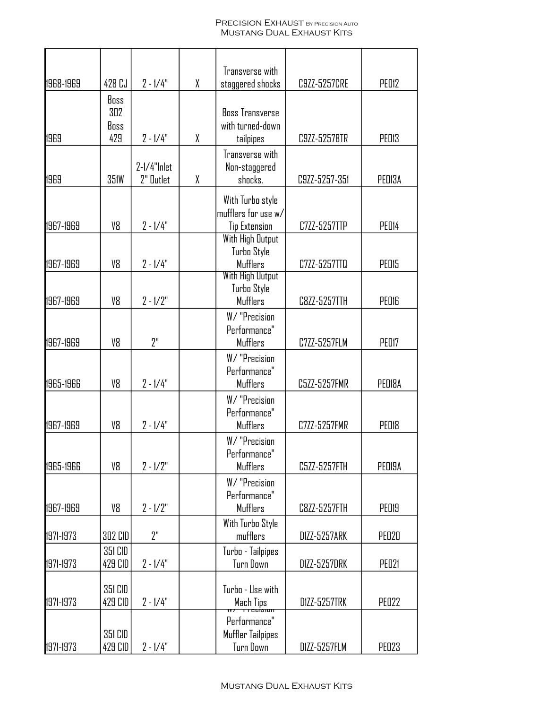#### PRECISION EXHAUST BY PRECISION AUTO Mustang Dual Exhaust Kits

|           |                            |                          |   | Transverse with                                                                     |                     |                   |
|-----------|----------------------------|--------------------------|---|-------------------------------------------------------------------------------------|---------------------|-------------------|
| 1968-1969 | 428 CJ                     | $2 - 1/4"$               | χ | staggered shocks                                                                    | C9ZZ-5257CRE        | PED12             |
| 1969      | Boss<br>302<br>Boss<br>429 | $2 - 1/4"$               | X | <b>Boss Transverse</b><br>with turned-down<br>tailpipes                             | C9ZZ-5257BTR        | <b>PED13</b>      |
| 1969      | <b>351W</b>                | 2-1/4"Inlet<br>2" Dutlet | χ | Transverse with<br>Non-staggered<br>shocks.                                         | C9ZZ-5257-351       | PED13A            |
| 1967-1969 | V8                         | $2 - 1/4"$               |   | With Turbo style<br>mufflers for use w/<br><b>Tip Extension</b><br>With High Output | C7ZZ-5257TTP        | PED14             |
| 1967-1969 | V8                         | $2 - 1/4"$               |   | Turbo Style<br><b>Mufflers</b>                                                      | C7ZZ-5257TTQ        | <b>PED15</b>      |
| 1967-1969 | V8                         | $2 - 1/2"$               |   | <b>With High Output</b><br>Turbo Style<br><b>Mufflers</b>                           | C8ZZ-5257TTH        | <b>PED16</b>      |
| 1967-1969 | V8                         | 2"                       |   | W/ "Precision<br>Performance"<br><b>Mufflers</b>                                    | C7ZZ-5257FLM        | PED17             |
| 1965-1966 | V8                         | $2 - 1/4"$               |   | W/ "Precision<br>Performance"<br><b>Mufflers</b>                                    | C5ZZ-5257FMR        | PED18A            |
| 1967-1969 | V8                         | $2 - 1/4"$               |   | W/ "Precision<br>Performance"<br>Mufflers                                           | C7ZZ-5257FMR        | PED <sub>18</sub> |
| 1965-1966 | V8                         | $2 - 1/2"$               |   | W/ "Precision<br>Performance"<br><b>Mufflers</b>                                    | C5ZZ-5257FTH        | PED19A            |
| 1967-1969 | V8                         | $2 - 1/2"$               |   | W/ "Precision<br>Performance"<br><b>Mufflers</b>                                    | C8ZZ-5257FTH        | <b>PED19</b>      |
| 1971-1973 | 302 CID                    | 2"                       |   | With Turbo Style<br>mufflers                                                        | DIZZ-5257ARK        | <b>PE020</b>      |
| 1971-1973 | 351 CID<br>429 CID         | $2 - 1/4"$               |   | Turbo - Tailpipes<br>Turn Down                                                      | <b>DIZZ-5257DRK</b> | <b>PE021</b>      |
| 1971-1973 | 351 CID<br>429 CID         | $2 - 1/4"$               |   | Turbo - Use with<br>Mach Tips<br>Antrecision                                        | <b>DIZZ-5257TRK</b> | <b>PE022</b>      |
| 1971-1973 | 351 CID<br>429 CID         | $2 - 1/4"$               |   | Performance"<br>Muffler Tailpipes<br>Turn Down                                      | DIZZ-5257FLM        | <b>PE023</b>      |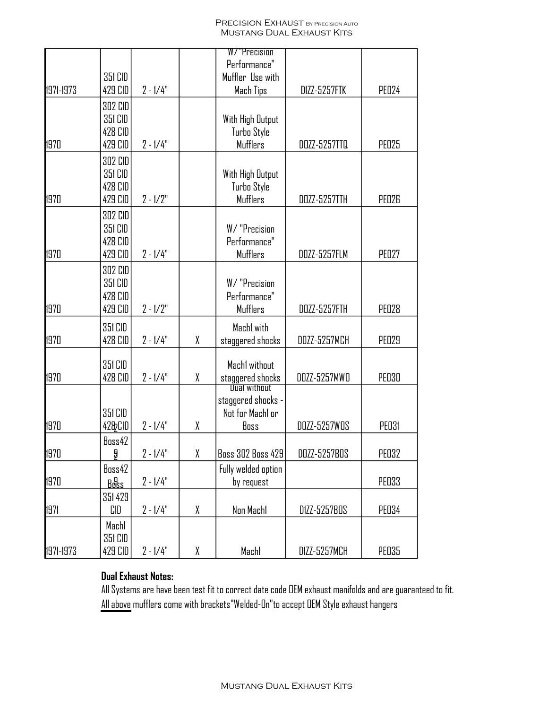#### PRECISION EXHAUST BY PRECISION AUTO Mustang Dual Exhaust Kits

|           |                                                 |            |   | W/"Precision                                                          |              |              |
|-----------|-------------------------------------------------|------------|---|-----------------------------------------------------------------------|--------------|--------------|
|           | 351 CID                                         |            |   | Performance"<br>Muffler Use with                                      |              |              |
| 1971-1973 | 429 CID                                         | $2 - 1/4"$ |   | Mach Tips                                                             | DIZZ-5257FTK | <b>PE024</b> |
| 1970      | 302 CID<br>351 CID<br>428 CID<br>429 CID        | $2 - 1/4"$ |   | With High Output<br>Turbo Style<br>Mufflers                           | DOZZ-5257TTQ | <b>PE025</b> |
| 1970      | 302 CID<br>351 CID<br>428 CID<br>429 CID        | $2 - 1/2"$ |   | With High Output<br>Turbo Style<br><b>Mufflers</b>                    | DOZZ-5257TTH | <b>PE026</b> |
| 1970      | 302 CID<br>351 CID<br>428 CID<br>429 CID        | $2 - 1/4"$ |   | W/ "Precision<br>Performance"<br><b>Mufflers</b>                      | DOZZ-5257FLM | PED27        |
| 1970      | <b>302 CID</b><br>351 CID<br>428 CID<br>429 CID | $2 - 1/2"$ |   | W/ "Precision<br>Performance"<br>Mufflers                             | DOZZ-5257FTH | <b>PE028</b> |
| 1970      | 351 CID<br>428 CID                              | $2 - 1/4"$ | χ | Machl with<br>staggered shocks                                        | DOZZ-5257MCH | <b>PE029</b> |
| 1970      | 351 CID<br>428 CID                              | $2 - 1/4"$ | χ | Machl without<br>staggered shocks                                     | DOZZ-5257MWD | <b>PE030</b> |
| 1970      | 351 CID<br>42&CID                               | $2 - 1/4"$ | χ | <b>Vual without</b><br>staggered shocks -<br>Not for Machl or<br>Boss | DOZZ-5257WOS | <b>PE031</b> |
| 1970      | Boss42<br>å                                     | $2 - 1/4"$ | χ | <b>Boss 302 Boss 429</b>                                              | DOZZ-5257BOS | <b>PE032</b> |
| 1970      | Boss42<br>Bœs                                   | $2 - 1/4"$ |   | Fully welded option<br>by request                                     |              | <b>PE033</b> |
| 1971      | 351 429<br>CID                                  | $2 - 1/4"$ | χ | Non Machi                                                             | D1ZZ-5257BOS | <b>PE034</b> |
| 1971-1973 | Machl<br>351 CID<br>429 CID                     | $2 - 1/4"$ | χ | Machl                                                                 | D1ZZ-5257MCH | <b>PE035</b> |

### **Dual Exhaust Notes:**

All Systems are have been test fit to correct date code OEM exhaust manifolds and are guaranteed to fit. All above mufflers come with brackets<u>"Welded-On"</u>to accept OEM Style exhaust hangers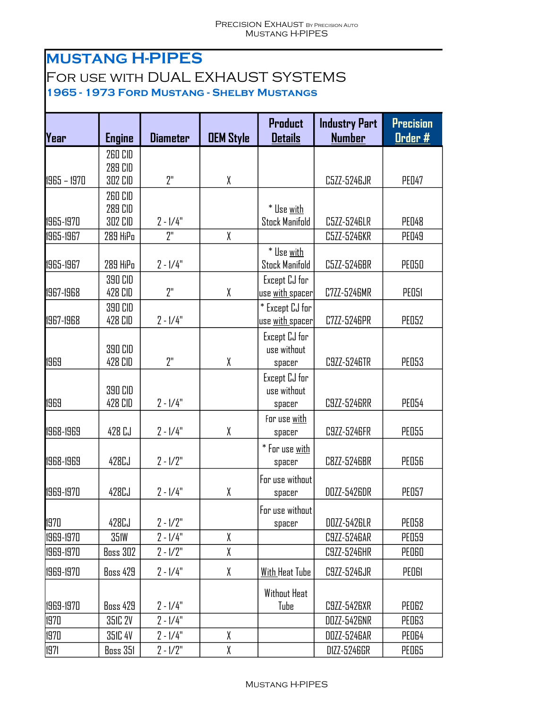## **MUSTANG H-PIPES**

## For use with DUAL EXHAUST SYSTEMS

**1965 - 1973 Ford Mustang - Shelby Mustangs**

| Year        | <b>Engine</b>      | <b>Diameter</b> | <b>DEM Style</b> | <b>Product</b><br><b>Details</b>        | <b>Industry Part</b><br><b>Number</b> | <b>Precision</b><br>Order # |
|-------------|--------------------|-----------------|------------------|-----------------------------------------|---------------------------------------|-----------------------------|
|             | 260 CID            |                 |                  |                                         |                                       |                             |
|             | 289 CID            |                 |                  |                                         |                                       |                             |
| 1965 - 1970 | 302 CID            | 2"              | χ                |                                         | C5ZZ-5246JR                           | <b>PED47</b>                |
|             | 260 CID            |                 |                  |                                         |                                       |                             |
|             | 289 CID            |                 |                  | * Use with                              |                                       |                             |
| 1965-1970   | 302 CID            | $2 - 1/4"$      |                  | <b>Stock Manifold</b>                   | C5ZZ-5246LR                           | <b>PED48</b>                |
| 1965-1967   | 289 HiPo           | 2"              | χ                |                                         | C5ZZ-5246KR                           | <b>PED49</b>                |
| 1965-1967   | 289 HiPo           | $2 - 1/4"$      |                  | * Use with<br><b>Stock Manifold</b>     | C5ZZ-5246BR                           | <b>PE050</b>                |
|             |                    |                 |                  |                                         |                                       |                             |
| 1967-1968   | 390 CID<br>428 CID | 2"              | χ                | Except CJ for<br>use <u>with spacer</u> | C7ZZ-5246MR                           | PEO51                       |
|             | 390 CID            |                 |                  | * Except CJ for                         |                                       |                             |
| 1967-1968   | 428 CID            | $2 - 1/4"$      |                  | use with spacer                         | C7ZZ-5246PR                           | <b>PEO52</b>                |
|             |                    |                 |                  | Except CJ for                           |                                       |                             |
|             | 390 CID            |                 |                  | use without                             |                                       |                             |
| 1969        | 428 CID            | 2"              | X                | spacer                                  | C9ZZ-5246TR                           | <b>PEO53</b>                |
|             |                    |                 |                  | Except CJ for                           |                                       |                             |
|             | 390 CID            |                 |                  | use without                             |                                       |                             |
| 1969        | 428 CID            | $2 - 1/4"$      |                  | spacer                                  | C9ZZ-5246RR                           | <b>PE054</b>                |
|             |                    |                 |                  | For use with                            |                                       |                             |
| 1968-1969   | 428 CJ             | $2 - 1/4"$      | χ                | spacer                                  | C9ZZ-5246FR                           | <b>PEO55</b>                |
|             |                    |                 |                  | $*$ For use $with$                      |                                       |                             |
| 1968-1969   | 428CJ              | $2 - 1/2"$      |                  | spacer                                  | C8ZZ-5246BR                           | <b>PEO56</b>                |
|             |                    |                 |                  | For use without                         |                                       |                             |
| 1969-1970   | 428CJ              | $2 - 1/4"$      | χ                | spacer                                  | DOZZ-5426DR                           | <b>PEO57</b>                |
|             |                    |                 |                  | For use without                         |                                       |                             |
| 1970        | 428CJ              | $2 - 1/2"$      |                  | spacer                                  | DOZZ-5426LR                           | <b>PEO58</b>                |
| 1969-1970   | <b>351W</b>        | $2 - 1/4"$      | χ                |                                         | C9ZZ-5246AR                           | <b>PEO59</b>                |
| 1969-1970   | <b>Boss 302</b>    | $2 - 1/2"$      | χ                |                                         | C9ZZ-5246HR                           | <b>PED60</b>                |
| 1969-1970   | <b>Boss 429</b>    | $2 - 1/4"$      | χ                | <b>With Heat Tube</b>                   | C9ZZ-5246JR                           | PEDGI                       |
|             |                    |                 |                  | Without Heat                            |                                       |                             |
| 1969-1970   | <b>Boss 429</b>    | $2 - 1/4"$      |                  | Tube                                    | C9ZZ-5426XR                           | PED62                       |
| 1970        | 351C 2V            | $2 - 1/4"$      |                  |                                         | DOZZ-5426NR                           | <b>PED63</b>                |
| 1970        | 351C 4V            | $2 - 1/4"$      | χ                |                                         | DOZZ-5246AR                           | PED64                       |
| 1971        | Boss 351           | $2 - 1/2"$      | χ                |                                         | D1ZZ-5246GR                           | PED65                       |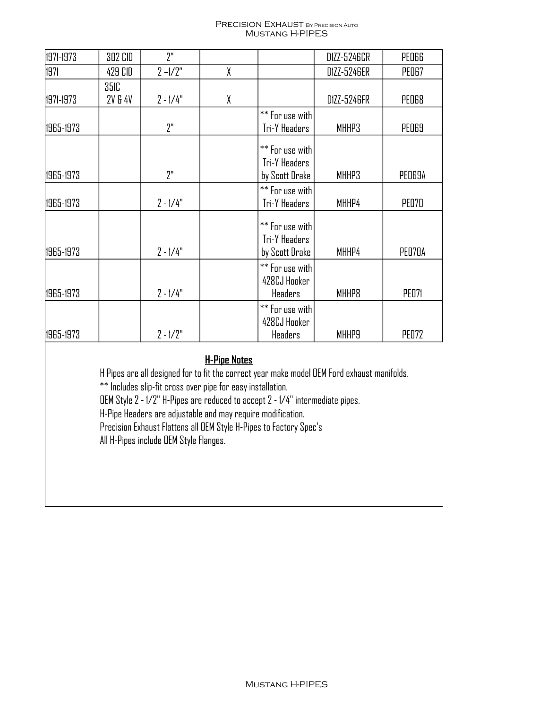#### PRECISION EXHAUST BY PRECISION AUTO Mustang H-PIPES

| 1971-1973 | 302 CID     | 7"         |   |                                                    | D1ZZ-5246CR | PEDGG        |
|-----------|-------------|------------|---|----------------------------------------------------|-------------|--------------|
| 1971      | 429 CID     | $2 - 1/2"$ | χ |                                                    | D1ZZ-5246ER | PEO67        |
|           | <b>351C</b> |            |   |                                                    |             |              |
| 1971-1973 | 2V & 4V     | $2 - 1/4"$ | χ |                                                    | D1ZZ-5246FR | PED68        |
|           |             |            |   | ** For use with                                    |             |              |
| 1965-1973 |             | 2"         |   | Tri-Y Headers                                      | MHHP3       | <b>PED69</b> |
|           |             |            |   | ** For use with<br>Tri-Y Headers                   |             |              |
| 1965-1973 |             | 2"         |   | by Scott Drake                                     | MHHP3       | PED69A       |
| 1965-1973 |             | $2 - 1/4"$ |   | ** For use with<br>Tri-Y Headers                   | MHHP4       | <b>PE070</b> |
| 1965-1973 |             | $2 - 1/4"$ |   | ** For use with<br>Tri-Y Headers<br>by Scott Drake | MHHP4       | PED70A       |
| 1965-1973 |             | $2 - 1/4"$ |   | ** For use with<br>428CJ Hooker<br>Headers         | MHHP8       | <b>PE071</b> |
| 1965-1973 |             | $2 - 1/2"$ |   | ** For use with<br>428CJ Hooker<br>Headers         | MHHP9       | <b>PE072</b> |

### **H-Pipe Notes**

H Pipes are all designed for to fit the correct year make model OEM Ford exhaust manifolds.

\*\* Includes slip-fit cross over pipe for easy installation.

OEM Style 2 - 1/2" H-Pipes are reduced to accept 2 - 1/4" intermediate pipes.

H-Pipe Headers are adjustable and may require modification.

Precision Exhaust Flattens all OEM Style H-Pipes to Factory Spec's

All H-Pipes include OEM Style Flanges.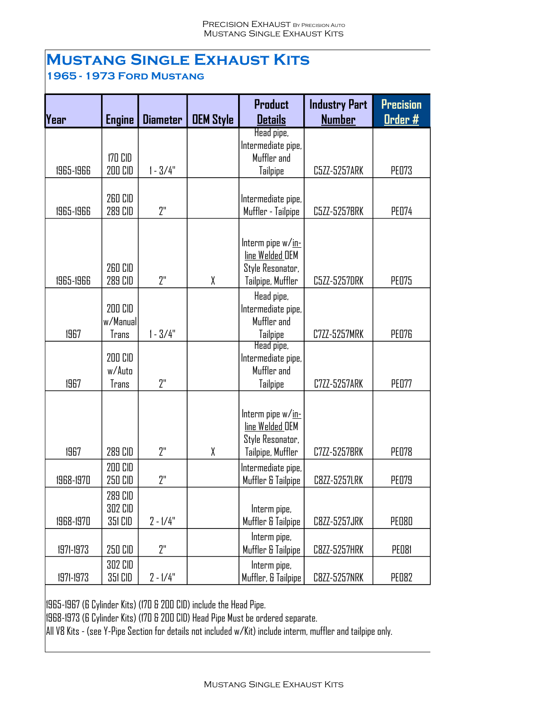## **Mustang Single Exhaust Kits 1965 - 1973 Ford Mustang**

| Year      |                                      | <b>Diameter</b> | <b>DEM Style</b> | <b>Product</b><br><b>Details</b>                                              | <b>Industry Part</b><br><b>Number</b> | <b>Precision</b> |
|-----------|--------------------------------------|-----------------|------------------|-------------------------------------------------------------------------------|---------------------------------------|------------------|
|           | <b>Engine</b>                        |                 |                  | Head pipe,                                                                    |                                       | <u>Order #</u>   |
| 1965-1966 | 170 CID<br><b>200 CID</b>            | $1 - 3/4"$      |                  | Intermediate pipe,<br>Muffler and<br><b>Tailpipe</b>                          | C5ZZ-5257ARK                          | <b>PE073</b>     |
| 1965-1966 | <b>260 CID</b><br>289 CID            | 7"              |                  | Intermediate pipe,<br>Muffler - Tailpipe                                      | C5ZZ-5257BRK                          | <b>PE074</b>     |
| 1965-1966 | 260 CID<br>289 CID                   | 2"              | χ                | Interm pipe w/in-<br>line Welded OEM<br>Style Resonator,<br>Tailpipe, Muffler | C5ZZ-5257DRK                          | <b>PE075</b>     |
| 1967      | 200 CID<br>w/Manual<br>Trans         | $1 - 3/4"$      |                  | Head pipe,<br>Intermediate pipe,<br>Muffler and<br>Tailpipe                   | C7ZZ-5257MRK                          | <b>PE076</b>     |
| 1967      | 200 CID<br>w/Auto<br>Trans           | 2"              |                  | Head pipe,<br>Intermediate pipe,<br>Muffler and<br><b>Tailpipe</b>            | C7ZZ-5257ARK                          | <b>PED77</b>     |
| 1967      | 289 CID                              | 2"              | X                | Interm pipe w/in-<br>line Welded OEM<br>Style Resonator,<br>Tailpipe, Muffler | C7ZZ-5257BRK                          | <b>PED78</b>     |
| 1968-1970 | 200 CID<br>250 CID                   | 2"              |                  | Intermediate pipe,<br>Muffler & Tailpipe                                      | C8ZZ-5257LRK                          | <b>PE079</b>     |
| 1968-1970 | 289 CID<br><b>302 CID</b><br>351 CID | $2 - 1/4"$      |                  | Interm pipe,<br>Muffler & Tailpipe                                            | C8ZZ-5257JRK                          | <b>PED80</b>     |
| 1971-1973 | 250 CID                              | 2"              |                  | Interm pipe,<br>Muffler & Tailpipe                                            | C8ZZ-5257HRK                          | PED81            |
| 1971-1973 | 302 CID<br>351 CID                   | $2 - 1/4"$      |                  | Interm pipe,<br>Muffler, & Tailpipe                                           | C8ZZ-5257NRK                          | <b>PE082</b>     |

1965-1967 (6 Cylinder Kits) (170 & 200 CID) include the Head Pipe.

1968-1973 (6 Cylinder Kits) (170 & 200 CID) Head Pipe Must be ordered separate.

All V8 Kits - (see Y-Pipe Section for details not included w/Kit) include interm, muffler and tailpipe only.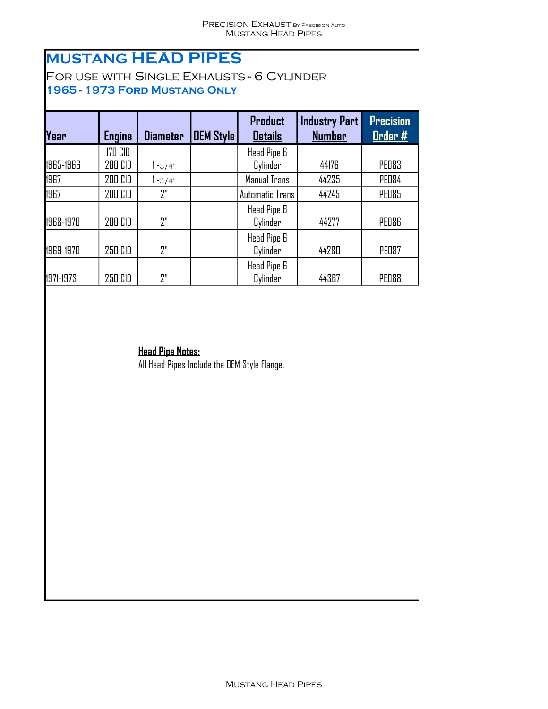## **MUSTANG HEAD PIPES**

For use with Single Exhausts - 6 Cylinder **1965 - 1973 Ford Mustang Only**

| Year      | <b>Engine</b>  | <b>Diameter</b> | <b>OEM Style</b> | <b>Product</b><br><b>Details</b> | <b>Industry Part</b><br><b>Number</b> | <b>Precision</b><br>Order # |
|-----------|----------------|-----------------|------------------|----------------------------------|---------------------------------------|-----------------------------|
|           | <b>170 CID</b> |                 |                  | Head Pipe 6                      |                                       |                             |
| 1965-1966 | 200 CID        | $1 - 3/4"$      |                  | Cylinder                         | 44176                                 | <b>PED83</b>                |
| 1967      | 200 CID        | $1 - 3/4"$      |                  | Manual Trans                     | 44235                                 | <b>PE084</b>                |
| 1967      | 200 CID        | "?              |                  | <b>Automatic Trans</b>           | 44245                                 | <b>PED85</b>                |
| 1968-1970 | 200 CID        | 2"              |                  | Head Pipe 6<br>Cylinder          | 44277                                 | <b>PED86</b>                |
| 1969-1970 | 250 CID        | 2"              |                  | Head Pipe 6<br>Cylinder          | 44280                                 | <b>PE087</b>                |
| 1971-1973 | 250 CID        | "?              |                  | Head Pipe 6<br>Cylinder          | 44367                                 | <b>PED88</b>                |

### **Head Pipe Notes;**

All Head Pipes Include the OEM Style Flange.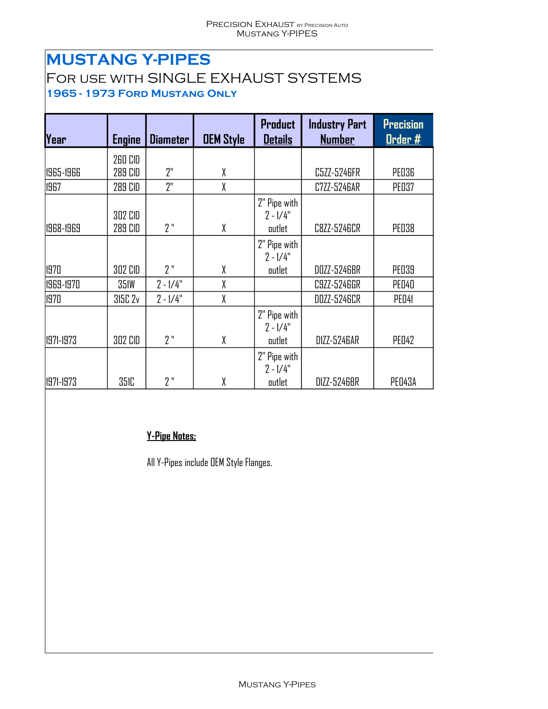## **MUSTANG Y-PIPES**

## For use with SINGLE EXHAUST SYSTEMS **1965 - 1973 Ford Mustang Only**

| Year      | <b>Engine</b> | <b>Diameter</b> | <b>OEM Style</b> | <b>Product</b><br><b>Details</b> | <b>Industry Part</b><br><b>Number</b> | <b>Precision</b><br>Order # |
|-----------|---------------|-----------------|------------------|----------------------------------|---------------------------------------|-----------------------------|
|           | 260 CID       |                 |                  |                                  |                                       |                             |
| 1965-1966 | 289 CID       | 2"              | X                |                                  | C5ZZ-5246FR                           | <b>PE036</b>                |
| 1967      | 289 CID       | 2"              | X                |                                  | C7ZZ-5246AR                           | <b>PE037</b>                |
|           | 302 CID       |                 |                  | 2" Pipe with<br>$2 - 1/4"$       |                                       |                             |
| 1968-1969 | 289 CID       | 2"              | X                | outlet                           | C8ZZ-5246CR                           | <b>PE038</b>                |
|           |               |                 |                  | 2" Pipe with<br>$2 - 1/4"$       |                                       |                             |
| 1970      | 302 CID       | 7"              | χ                | outlet                           | DOZZ-5246BR                           | <b>PE039</b>                |
| 1969-1970 | <b>351W</b>   | $2 - 1/4"$      | χ                |                                  | C9ZZ-5246GR                           | <b>PED40</b>                |
| 1970      | 315C 2v       | $2 - 1/4"$      | X                |                                  | DOZZ-5246CR                           | PED <sub>41</sub>           |
|           |               |                 |                  | 2" Pipe with<br>$2 - 1/4"$       |                                       |                             |
| 1971-1973 | 302 CID       | 2"              | χ                | outlet                           | D1ZZ-5246AR                           | <b>PED42</b>                |
|           |               |                 |                  | 2" Pipe with<br>$2 - 1/4"$       |                                       |                             |
| 1971-1973 | <b>351C</b>   | 2"              | χ                | outlet                           | D1ZZ-5246BR                           | PED43A                      |

### **Y-Pipe Notes;**

All Y-Pipes include OEM Style Flanges.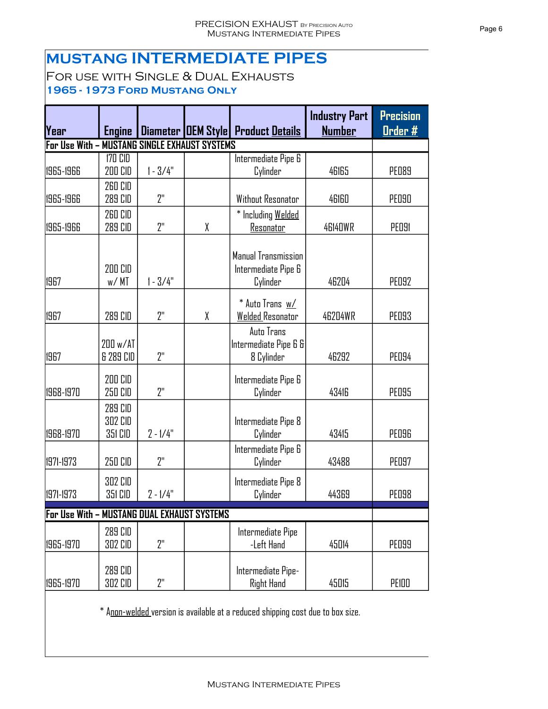## **MUSTANG INTERMEDIATE PIPES**

For use with Single & Dual Exhausts **1965 - 1973 Ford Mustang Only**

| Year                                        | <b>Engine</b>                 |                                       |   | <b>Diameter OEM Style Product Details</b>              | <b>Industry Part</b><br><b>Number</b> | <b>Precision</b><br><u> Order #</u> |
|---------------------------------------------|-------------------------------|---------------------------------------|---|--------------------------------------------------------|---------------------------------------|-------------------------------------|
| For Use With –                              |                               | <b>MUSTANG SINGLE EXHAUST SYSTEMS</b> |   |                                                        |                                       |                                     |
| 1965-1966                                   | <b>170 CID</b><br>200 CID     | $1 - 3/4"$                            |   | Intermediate Pipe 6<br>Cylinder                        | 46165                                 | <b>PED89</b>                        |
| 1965-1966                                   | <b>260 CID</b><br>289 CID     | 2"                                    |   | Without Resonator                                      | 46160                                 | <b>PE090</b>                        |
| 1965-1966                                   | 260 CID<br>289 CID            | 2"                                    | X | * Including Welded<br>Resonator                        | <b>46140WR</b>                        | <b>PE091</b>                        |
| 1967                                        | 200 CID<br>w/MT               | $1 - 3/4"$                            |   | Manual Transmission<br>Intermediate Pipe 6<br>Cylinder | 46204                                 | <b>PE092</b>                        |
| 1967                                        | <b>289 CID</b>                | 2"                                    | X | * Auto Trans w/<br><b>Welded Resonator</b>             | <b>46204WR</b>                        | <b>PED93</b>                        |
| 1967                                        | 200 w/AT<br>& 289 CID         | 2"                                    |   | Auto Trans<br>Intermediate Pipe 6 8<br>8 Cylinder      | 46292                                 | <b>PE094</b>                        |
| 1968-1970                                   | 200 CID<br>250 CID            | 2"                                    |   | Intermediate Pipe 6<br>Cylinder                        | 43416                                 | <b>PE095</b>                        |
| 1968-1970                                   | 289 CID<br>302 CID<br>351 CID | $2 - 1/4"$                            |   | Intermediate Pipe 8<br>Cylinder                        | 43415                                 | <b>PE096</b>                        |
| 1971-1973                                   | 250 CID                       | 2"                                    |   | Intermediate Pipe 6<br>Cylinder                        | 43488                                 | <b>PE097</b>                        |
| 1971-1973                                   | 302 CID<br>351 CID            | $2 - 1/4"$                            |   | Intermediate Pipe 8<br>Cylinder                        | 44369                                 | <b>PED98</b>                        |
| For Use With - MUSTANG DUAL EXHAUST SYSTEMS |                               |                                       |   |                                                        |                                       |                                     |
| 1965-1970                                   | 289 CID<br>302 CID            | 2"                                    |   | Intermediate Pipe<br>-Left Hand                        | 45014                                 | <b>PE099</b>                        |
| 1965-1970                                   | 289 CID<br>302 CID            | 2"                                    |   | Intermediate Pipe-<br><b>Right Hand</b>                | 45015                                 | PEIDD                               |

\* Anon-welded version is available at a reduced shipping cost due to box size.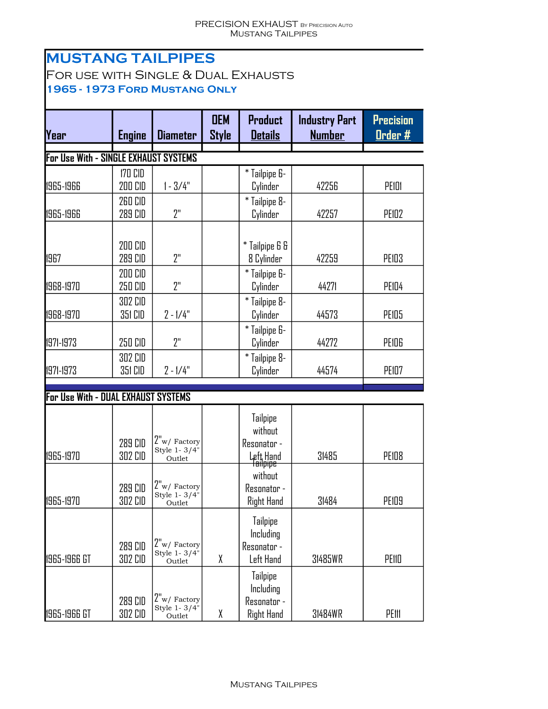## **MUSTANG TAILPIPES** For use with Single & Dual Exhausts **1965 - 1973 Ford Mustang Only**

| Year                                  | <b>Engine</b>             | <b>Diameter</b>                          | <b>OEM</b><br><b>Style</b> | <b>Product</b><br><b>Details</b>                                              | <b>Industry Part</b><br><b>Number</b> | <b>Precision</b><br>Order # |
|---------------------------------------|---------------------------|------------------------------------------|----------------------------|-------------------------------------------------------------------------------|---------------------------------------|-----------------------------|
| For Use With - SINGLE EXHAUST SYSTEMS |                           |                                          |                            |                                                                               |                                       |                             |
| 1965-1966                             | <b>170 CID</b><br>200 CID | $1 - 3/4"$                               |                            | * Tailpipe 6-<br>Cylinder                                                     | 42256                                 | PEIDI                       |
| 1965-1966                             | 260 CID<br>289 CID        | 2"                                       |                            | * Tailpipe 8-<br>Cylinder                                                     | 42257                                 | <b>PE102</b>                |
| 1967                                  | 200 CID<br>289 CID        | 2"                                       |                            | * Tailpipe 6 &<br>8 Cylinder                                                  | 42259                                 | PEID3                       |
| 1968-1970                             | 200 CID<br>250 CID        | 2"                                       |                            | * Tailpipe 6-<br>Cylinder                                                     | 44271                                 | PEID4                       |
| 1968-1970                             | <b>302 CID</b><br>351 CID | $2 - 1/4"$                               |                            | * Tailpipe 8-<br>Cylinder                                                     | 44573                                 | PEID5                       |
| 1971-1973                             | 250 CID                   | 2"                                       |                            | * Tailpipe 6-<br>Cylinder                                                     | 44272                                 | PEIDG                       |
| 1971-1973                             | 302 CID<br>351 CID        | $2 - 1/4"$                               |                            | * Tailpipe 8-<br>Cylinder                                                     | 44574                                 | PEID7                       |
| For Use With - DUAL EXHAUST SYSTEMS   |                           |                                          |                            |                                                                               |                                       |                             |
| 1965-1970                             | 289 CID<br><b>302 CID</b> | $2"w/$ Factory<br>Style 1-3/4"<br>Outlet |                            | <b>Tailpipe</b><br>without<br>Resonator -<br>Left Hand<br><del>Tailpipe</del> | 31485                                 | <b>PE108</b>                |
| 1965-1970                             | 289 CID<br><b>302 CID</b> | $2"w/$ Factory<br>Style 1-3/4"<br>Outlet |                            | without<br>Resonator -<br>Right Hand                                          | 31484                                 | <b>PE109</b>                |
| 1965-1966 GT                          | 289 CID<br><b>302 CID</b> | $2"w/$ Factory<br>Style 1-3/4"<br>Outlet | χ                          | <b>Tailpipe</b><br>Including<br>Resonator -<br>Left Hand                      | 31485WR                               | PEIID                       |
| 1965-1966 GT                          | 289 CID<br>302 CID        | $2"w/$ Factory<br>Style 1-3/4"<br>Outlet | χ                          | <b>Tailpipe</b><br>Including<br>Resonator -<br>Right Hand                     | 31484WR                               | PEIII                       |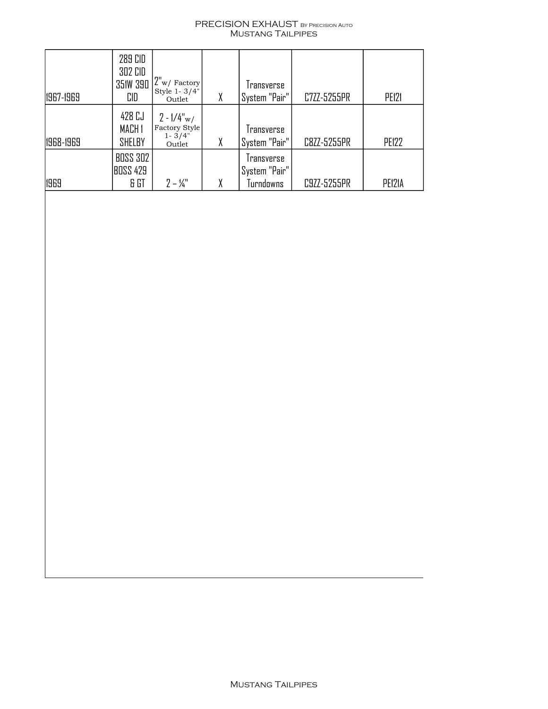#### PRECISION EXHAUST By Precision Auto Mustang Tailpipes

| 1967-1969 | 289 CID<br>302 CID<br><b>351W 390</b><br>CID | $ 2"$ <sub>w</sub> / $Factors$<br>Style 1-3/4"<br>Outlet | X | Iransverse<br>System "Pair"                      | C7ZZ-5255PR | PE121        |
|-----------|----------------------------------------------|----------------------------------------------------------|---|--------------------------------------------------|-------------|--------------|
| 1968-1969 | 428 CJ<br>MACH <sub>1</sub><br>SHELBY        | $2 - 1/4''w/$<br>Factory Style<br>$1 - 3/4"$<br>Outlet   | X | Iransverse<br>System "Pair"                      | C8ZZ-5255PR | <b>PE122</b> |
| 1969      | <b>BOSS 302</b><br>BOSS 429<br>& GT          | $2 - 1/4$                                                |   | <i>Iransverse</i><br>'System "Pair"<br>Turndowns | C9ZZ-5255PR | PE121A       |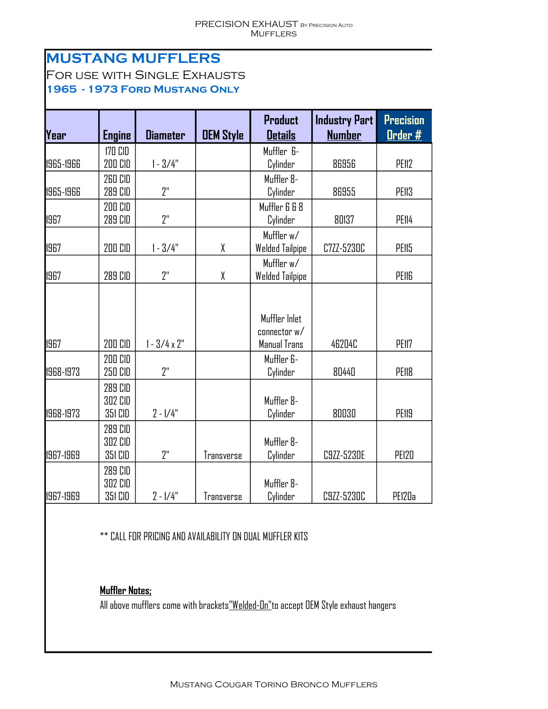# **MUSTANG MUFFLERS**

For use with Single Exhausts **1965 - 1973 Ford Mustang Only**

| Year      | <b>Engine</b>                        | <b>Diameter</b>     | <b>OEM Style</b> | <b>Product</b><br><b>Details</b>              | <b>Industry Part</b><br><b>Number</b> | <b>Precision</b><br><u>Order #</u> |
|-----------|--------------------------------------|---------------------|------------------|-----------------------------------------------|---------------------------------------|------------------------------------|
|           | 170 CID                              |                     |                  | Muffler 6-                                    |                                       |                                    |
| 1965-1966 | 200 CID                              | $1 - 3/4"$          |                  | Cylinder                                      | 86956                                 | PE112                              |
| 1965-1966 | <b>260 CID</b><br>289 CID            | 2"                  |                  | Muffler 8-<br>Cylinder                        | 86955                                 | PE113                              |
|           | 200 CID                              |                     |                  | Muffler 6 & 8                                 |                                       |                                    |
| 1967      | 289 CID                              | יי?                 |                  | Cylinder                                      | 80137                                 | PE114                              |
| 1967      | 200 CID                              | $1 - 3/4"$          | χ                | Muffler w/<br><b>Welded Tailpipe</b>          | <b>C7ZZ-5230C</b>                     | PE115                              |
| 1967      | 289 CID                              | יי?                 | χ                | Muffler w/<br>Welded Tailpipe                 |                                       | PEIIG                              |
| 1967      | 200 CID                              | $1 - 3/4 \times 2"$ |                  | Muffler Inlet<br>connector w/<br>Manual Trans | 46204C                                | PE117                              |
| 1968-1973 | 200 CID<br>250 CID                   | 2 <sup>''</sup>     |                  | Muffler 6-<br>Cylinder                        | 80440                                 | PE118                              |
| 1968-1973 | 289 CID<br>302 CID<br>351 CID        | $2 - 1/4"$          |                  | Muffler 8-<br>Cylinder                        | 80030                                 | PE119                              |
| 1967-1969 | 289 CID<br><b>302 CID</b><br>351 CID | ייף                 | Transverse       | Muffler 8-<br>Cylinder                        | C9ZZ-5230E                            | <b>PE120</b>                       |
| 1967-1969 | 289 CID<br><b>302 CID</b><br>351 CID | $2 - 1/4"$          | Transverse       | Muffler 8-<br>Cylinder                        | C9ZZ-5230C                            | PE120a                             |

\*\* CALL FOR PRICING AND AVAILABILITY ON DUAL MUFFLER KITS

### **Muffler Notes;**

All above mufflers come with brackets<u>"Welded-On"</u>to accept OEM Style exhaust hangers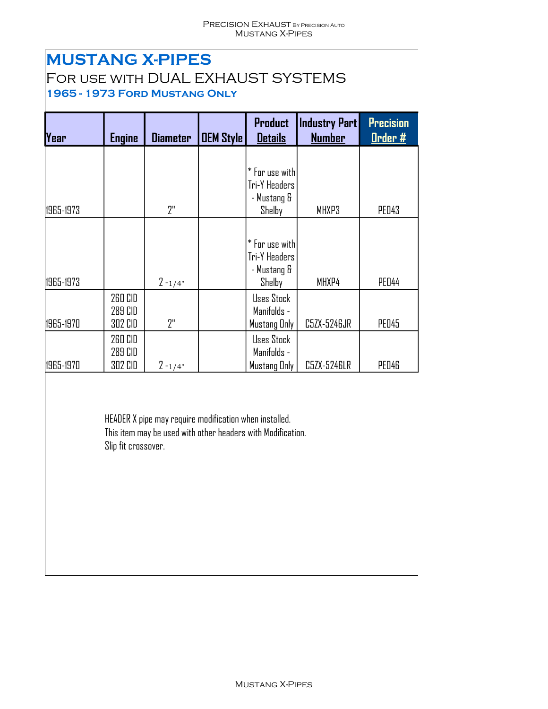## **MUSTANG X-PIPES**

# For use with DUAL EXHAUST SYSTEMS

**1965 - 1973 Ford Mustang Only**

| Year      | <b>Engine</b>                        | <b>Diameter</b> | <b>OEM Style</b> | <b>Product</b><br><b>Details</b>                         | <b>Industry Part</b><br><b>Number</b> | <b>Precision</b><br>Order # |
|-----------|--------------------------------------|-----------------|------------------|----------------------------------------------------------|---------------------------------------|-----------------------------|
|           |                                      |                 |                  | * For use with                                           |                                       |                             |
| 1965-1973 |                                      | 7"              |                  | Tri-Y Headers<br>- Mustang &<br>Shelby                   | MHXP3                                 | <b>PED43</b>                |
| 1965-1973 |                                      | $2 - 1/4"$      |                  | * For use with<br>Tri-Y Headers<br>- Mustang &<br>Shelby | MHXP4                                 | <b>PED44</b>                |
| 1965-1970 | <b>260 CID</b><br>289 CID<br>302 CID | יי?             |                  | Uses Stock<br>Manifolds -<br>Mustang Only                | C5ZX-5246JR                           | <b>PED45</b>                |
| 1965-1970 | 260 CID<br>289 CID<br>302 CID        | $2 - 1/4"$      |                  | Uses Stock<br>Manifolds -<br>Mustang Only                | C5ZX-5246LR                           | PED46                       |

HEADER X pipe may require modification when installed. This item may be used with other headers with Modification. Slip fit crossover.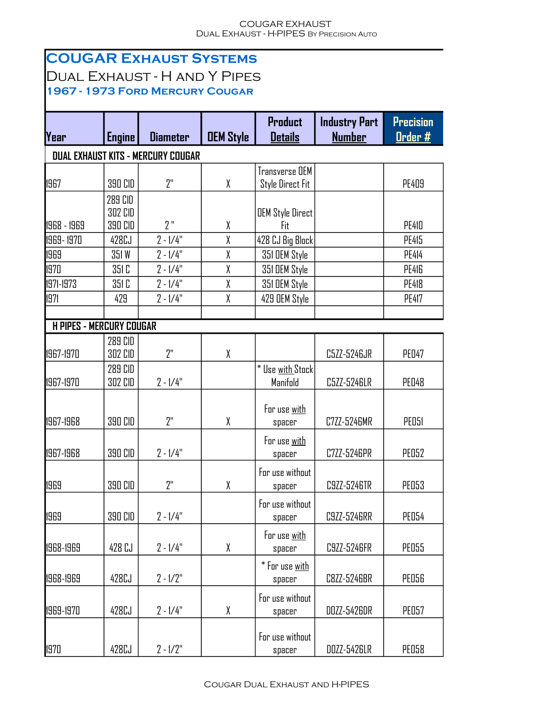#### COUGAR EXHAUST Dual Exhaust - H-PIPES By Precision Auto

|                                 |                | <b>COUGAR EXHAUST SYSTEMS</b>             |                  |                                |                      |                              |
|---------------------------------|----------------|-------------------------------------------|------------------|--------------------------------|----------------------|------------------------------|
|                                 |                | <b>DUAL EXHAUST - H AND Y PIPES</b>       |                  |                                |                      |                              |
|                                 |                | 1967 - 1973 FORD MERCURY COUGAR           |                  |                                |                      |                              |
|                                 |                |                                           |                  | Product                        | <b>Industry Part</b> | <b>Precision</b>             |
| <b>Year</b>                     | <b>Engine</b>  | <b>Diameter</b>                           | <b>DEM Style</b> | <b>Details</b>                 | <b>Number</b>        | <u>Drder #</u>               |
|                                 |                | <b>DUAL EXHAUST KITS - MERCURY COUGAR</b> |                  |                                |                      |                              |
|                                 |                |                                           |                  | Transverse OEM                 |                      |                              |
| 1967                            | 390 CID        | 2"                                        | χ                | <b>Style Direct Fit</b>        |                      | <b>PE409</b>                 |
|                                 | 289 CID        |                                           |                  |                                |                      |                              |
|                                 | 302 CID        | י ?                                       |                  | <b>OEM Style Direct</b>        |                      |                              |
| 1968 - 1969                     | <b>390 CID</b> |                                           | χ<br>χ           | Fit                            |                      | <b>PE410</b>                 |
| 1969-1970<br>1969               | 428CJ<br>351W  | $2 - 1/4"$<br>$2 - 1/4"$                  | χ                | 428 CJ Big Block               |                      | <b>PE415</b><br><b>PE414</b> |
| 1970                            | 351 C          | $2 - 1/4"$                                | χ                | 351 DEM Style<br>351 DEM Style |                      | <b>PE416</b>                 |
| 1971-1973                       | 351 C          | $2 - 1/4"$                                | χ                | 351 DEM Style                  |                      | <b>PE418</b>                 |
| 1971                            | 429            | $2 - 1/4"$                                | X                | 429 DEM Style                  |                      | <b>PE417</b>                 |
|                                 |                |                                           |                  |                                |                      |                              |
| <b>H PIPES - MERCURY COUGAR</b> |                |                                           |                  |                                |                      |                              |
|                                 | 289 CID        |                                           |                  |                                |                      |                              |
| 1967-1970                       | 302 CID        | ייף                                       | χ                |                                | C5ZZ-5246JR          | <b>PED47</b>                 |
|                                 | 289 CID        |                                           |                  | * Use with Stock               |                      |                              |
| 1967-1970                       | 302 CID        | $2 - 1/4"$                                |                  | Manifold                       | C5ZZ-5246LR          | <b>PED48</b>                 |
|                                 |                |                                           |                  | For use with                   |                      |                              |
| 1967-1968                       | 390 CID        | 2"                                        | χ                | spacer                         | C7ZZ-5246MR          | <b>PEO51</b>                 |
|                                 |                |                                           |                  |                                |                      |                              |
| 1967-1968                       | 390 CID        | $2 - 1/4"$                                |                  | For use with<br>spacer         | C7ZZ-5246PR          | PEO52                        |
|                                 |                |                                           |                  |                                |                      |                              |
| 1969                            | 390 CID        | 2"                                        | χ                | For use without                | C9ZZ-5246TR          | <b>PE053</b>                 |
|                                 |                |                                           |                  | spacer                         |                      |                              |
|                                 |                |                                           |                  | For use without                |                      |                              |
| 1969                            | 390 CID        | $2 - 1/4"$                                |                  | spacer                         | C9ZZ-5246RR          | <b>PE054</b>                 |
|                                 |                |                                           |                  | For use <u>with</u>            |                      |                              |
| 1968-1969                       | 428 CJ         | $2 - 1/4"$                                | χ                | spacer                         | C9ZZ-5246FR          | <b>PEO55</b>                 |
|                                 |                |                                           |                  | * For use <u>with</u>          |                      |                              |
| 1968-1969                       | 428CJ          | $2 - 1/2"$                                |                  | spacer                         | C8ZZ-5246BR          | <b>PEO56</b>                 |
|                                 |                |                                           |                  | For use without                |                      |                              |
| 1969-1970                       | 428CJ          | $2 - 1/4"$                                | χ                | spacer                         | DOZZ-5426DR          | <b>PE057</b>                 |
|                                 |                |                                           |                  | For use without                |                      |                              |
| 1970                            | 428CJ          | $2 - 1/2"$                                |                  | spacer                         | DOZZ-5426LR          | <b>PEO58</b>                 |
|                                 |                |                                           |                  |                                |                      |                              |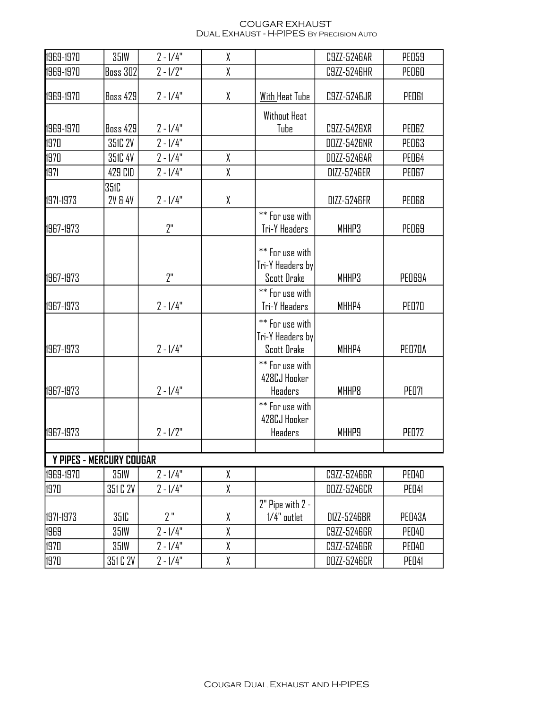#### COUGAR EXHAUST Dual Exhaust - H-PIPES By Precision Auto

| 1969-1970  | <b>351W</b>                       | $2 - 1/4"$ | χ |                                                           | C9ZZ-5246AR  | <b>PE059</b> |
|------------|-----------------------------------|------------|---|-----------------------------------------------------------|--------------|--------------|
| 1969-1970  | <b>Boss 302</b>                   | $2 - 1/2"$ | χ |                                                           | C9ZZ-5246HR  | PEOGO        |
| 1969-1970  | <b>Boss 429</b>                   | $2 - 1/4"$ | χ | <b>With Heat Tube</b>                                     | C9ZZ-5246JR  | <b>PEDGI</b> |
|            |                                   |            |   | Without Heat                                              |              |              |
| 1969-1970  | <b>Boss 429</b>                   | $2 - 1/4"$ |   | Tube                                                      | C9ZZ-5426XR  | PED62        |
| 1970       | 351C 2V                           | $2 - 1/4"$ |   |                                                           | DOZZ-5426NR  | <b>PED63</b> |
| 1970       | 351C 4V                           | $2 - 1/4"$ | χ |                                                           | DOZZ-5246AR  | PED64        |
| 1971       | 429 CID                           | $2 - 1/4"$ | χ |                                                           | D1ZZ-5246ER  | PEO67        |
| 1971-1973  | <b>351C</b><br><b>2V &amp; 4V</b> | $2 - 1/4"$ | χ |                                                           | D1ZZ-5246FR  | <b>PED68</b> |
| 1967-1973  |                                   | 2"         |   | ** For use with<br>Tri-Y Headers                          | MHHP3        | <b>PEO69</b> |
| 1967-1973  |                                   | 2"         |   | ** For use with<br>Tri-Y Headers by<br><b>Scott Drake</b> | MHHP3        | PED69A       |
| 1967-1973  |                                   | $2 - 1/4"$ |   | ** For use with<br>Tri-Y Headers                          | MHHP4        | <b>PE070</b> |
| 1967-1973  |                                   | $2 - 1/4"$ |   | ** For use with<br>Tri-Y Headers by<br><b>Scott Drake</b> | MHHP4        | PEO70A       |
| 1967-1973  |                                   | $2 - 1/4"$ |   | ** For use with<br>428CJ Hooker<br>Headers                | <b>MHHP8</b> | <b>PE071</b> |
| 1967-1973  |                                   | $2 - 1/2"$ |   | ** For use with<br>428CJ Hooker<br>Headers                | <b>MHHP9</b> | <b>PE072</b> |
|            |                                   |            |   |                                                           |              |              |
|            | <b>Y PIPES - MERCURY COUGAR</b>   |            |   |                                                           |              |              |
| 1969-1970  | <b>351W</b>                       | $2 - 1/4"$ | χ |                                                           | C9ZZ-5246GR  | <b>PED40</b> |
| 1970       | 351 C 2V                          | $2 - 1/4"$ | χ |                                                           | DOZZ-5246CR  | PED41        |
| 11971-1973 | 351C                              | 2"         | χ | 2" Pipe with 2 -<br>$1/4"$ outlet                         | D1ZZ-5246BR  | PED43A       |
| 1969       | <b>351W</b>                       | $2 - 1/4"$ | χ |                                                           | C9ZZ-5246GR  | PED40        |
| 1970       | 351W                              | $2 - 1/4"$ | χ |                                                           | C9ZZ-5246GR  | <b>PED40</b> |
| 1970       | 351 C 2V                          | $2 - 1/4"$ | χ |                                                           | DOZZ-5246CR  | PED41        |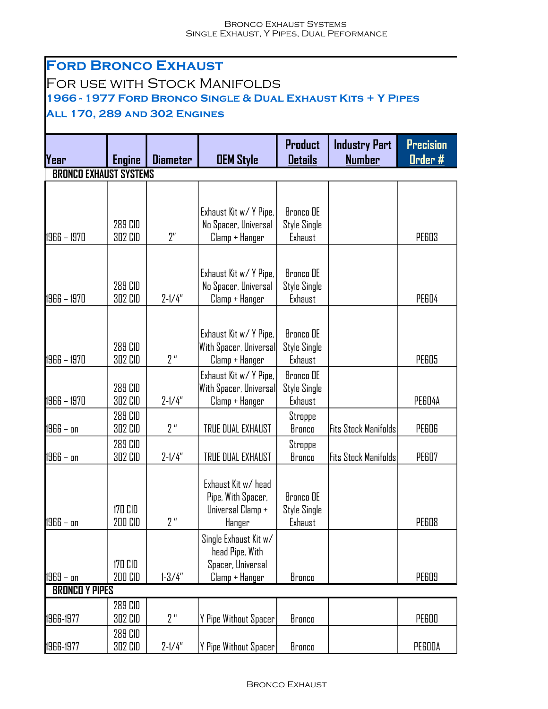#### **Ford Bronco Exhaust** For use with Stock Manifolds **1966 - 1977 Ford Bronco Single & Dual Exhaust Kits + Y Pipes All 170, 289 and 302 Engines Year Engine Diameter OEM Style BRONCO EXHAUST SYSTEMS** 1966 – 1970 | 302 CID | 2″ | Clamp + Hanger | Exhaust | | PE603 1966 – 1970 | 302 CID | 2-1/4" | Clamp + Hanger | Exhaust | | PE604 1966 – 1970 | 302 CID | 2 " | Clamp + Hanger | Exhaust | | PE605 1966 – 1970 | 302 CID | 2-1/4" | Clamp + Hanger | Exhaust | | PE604A 1966 – on | 302 CID | 2 " | TRUE DUAL EXHAUST | Bronco |Fits Stock Manifolds| PE606 1966 – on | 302 CID | 2-1/4" | TRUE DUAL EXHAUST | Bronco |Fits Stock Manifolds| PE607 1966 – on 2 " PE608 **Product Details Industry Part Number Precision Order #** 289 CID 302 CID Exhaust Kit w/ Y Pipe, No Spacer, Universal Bronco OE Style Single Exhaust 289 CID 302 CID Exhaust Kit w/ Y Pipe, No Spacer, Universal Bronco OE Style Single Exhaust 289 CID 302 CID Exhaust Kit w/ Y Pipe, With Spacer, Universal Bronco OE Style Single Exhaust 289 CID 302 CID Exhaust Kit w/ Y Pipe, With Spacer, Universal Bronco OE Style Single Exhaust 289 CID 302 CID **Stroppe** Bronco 289 CID 302 CID **Stroppe** Bronco 170 CID 200 CID Exhaust Kit w/ head Pipe, With Spacer, Universal Clamp + Hanger Bronco OE Style Single Exhaust 170 CID Single Exhaust Kit w/ head Pipe, With Spacer, Universal

| . .<br><b>BRONCO Y PIPES</b> |         |            |                        |        |  |        |  |  |
|------------------------------|---------|------------|------------------------|--------|--|--------|--|--|
|                              | 289 CID |            |                        |        |  |        |  |  |
| 1966-1977                    | 302 CID | <b>QU</b>  | Y Pipe Without Spacer! | Bronco |  | PEGOO  |  |  |
|                              | 289 CID |            |                        |        |  |        |  |  |
| 1966-1977                    | 302 CID | $7 - 1/4"$ | Y Pipe Without Spacer! | Bronco |  | PEGOOA |  |  |

1969 – on | 200 CID | 1-3/4" | Clamp + Hanger | Bronco | | PE609

200 CID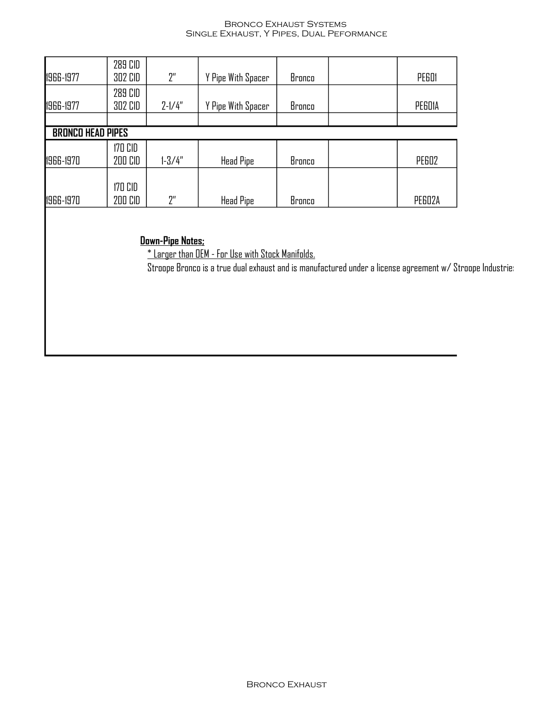#### Bronco Exhaust Systems Single Exhaust, Y Pipes, Dual Peformance

| 1966-1977                | 289 CID<br>302 CID | 2 <sup>n</sup> | Y Pipe With Spacer | Bronco | PEGOI  |
|--------------------------|--------------------|----------------|--------------------|--------|--------|
| 1966-1977                | 289 CID<br>302 CID | $2 - 1/4"$     | Y Pipe With Spacer | Bronco | PEGDIA |
|                          |                    |                |                    |        |        |
| <b>BRONCO HEAD PIPES</b> |                    |                |                    |        |        |
| 1966-1970                | 170 CID<br>200 CID | $1 - 3/4"$     | <b>Head Pipe</b>   | Bronco | PEG02  |
| 1966-1970                | 170 CID<br>200 CID | יי?            | <b>Head Pipe</b>   | Bronco | PEGO2A |

### **Down-Pipe Notes;**

\* Larger than OEM - For Use with Stock Manifolds.

Stroope Bronco is a true dual exhaust and is manufactured under a license agreement w/ Stroope Industries.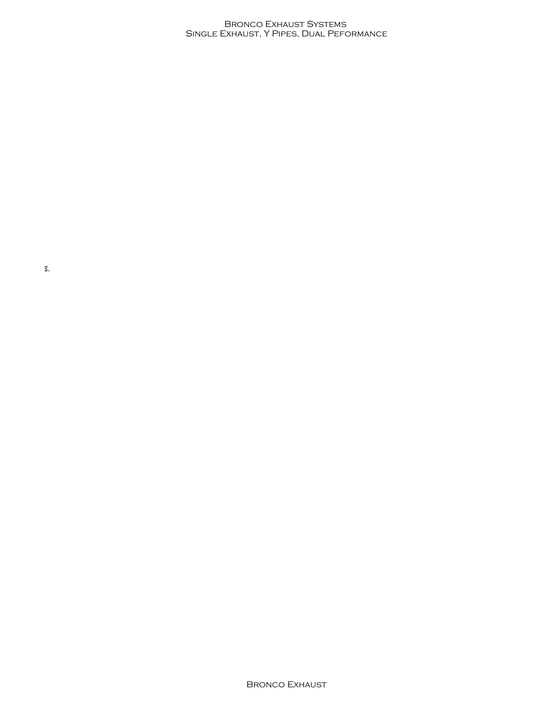#### Bronco Exhaust Systems Single Exhaust, Y Pipes, Dual Peformance

Stroope Bronco is a true dual exhaust and is manufactured under a license agreement w/ Stroope Industries.